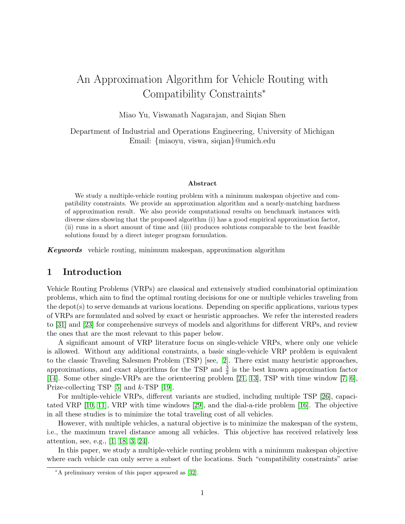# An Approximation Algorithm for Vehicle Routing with Compatibility Constraints<sup>∗</sup>

Miao Yu, Viswanath Nagarajan, and Siqian Shen

Department of Industrial and Operations Engineering, University of Michigan Email: {miaoyu, viswa, siqian}@umich.edu

#### Abstract

We study a multiple-vehicle routing problem with a minimum makespan objective and compatibility constraints. We provide an approximation algorithm and a nearly-matching hardness of approximation result. We also provide computational results on benchmark instances with diverse sizes showing that the proposed algorithm (i) has a good empirical approximation factor, (ii) runs in a short amount of time and (iii) produces solutions comparable to the best feasible solutions found by a direct integer program formulation.

Keywords vehicle routing, minimum makespan, approximation algorithm

## 1 Introduction

Vehicle Routing Problems (VRPs) are classical and extensively studied combinatorial optimization problems, which aim to find the optimal routing decisions for one or multiple vehicles traveling from the depot(s) to serve demands at various locations. Depending on specific applications, various types of VRPs are formulated and solved by exact or heuristic approaches. We refer the interested readers to [\[31\]](#page-12-0) and [\[23\]](#page-11-0) for comprehensive surveys of models and algorithms for different VRPs, and review the ones that are the most relevant to this paper below.

A significant amount of VRP literature focus on single-vehicle VRPs, where only one vehicle is allowed. Without any additional constraints, a basic single-vehicle VRP problem is equivalent to the classic Traveling Salesmen Problem (TSP) [see, [2\]](#page-10-0). There exist many heuristic approaches, approximations, and exact algorithms for the TSP and  $\frac{3}{2}$  is the best known approximation factor [\[14\]](#page-11-1). Some other single-VRPs are the orienteering problem [\[21,](#page-11-2) [13\]](#page-11-3), TSP with time window [\[7,](#page-10-1) [6\]](#page-10-2), Prize-collecting TSP [\[5\]](#page-10-3) and k-TSP [\[19\]](#page-11-4).

For multiple-vehicle VRPs, different variants are studied, including multiple TSP [\[26\]](#page-11-5), capacitated VRP [\[10,](#page-10-4) [11\]](#page-10-5), VRP with time windows [\[29\]](#page-12-1), and the dial-a-ride problem [\[16\]](#page-11-6). The objective in all these studies is to minimize the total traveling cost of all vehicles.

However, with multiple vehicles, a natural objective is to minimize the makespan of the system, i.e., the maximum travel distance among all vehicles. This objective has received relatively less attention, see, e.g., [\[1,](#page-10-6) [18,](#page-11-7) [3,](#page-10-7) [24\]](#page-11-8).

In this paper, we study a multiple-vehicle routing problem with a minimum makespan objective where each vehicle can only serve a subset of the locations. Such "compatibility constraints" arise

<sup>∗</sup>A preliminary version of this paper appeared as [\[32\]](#page-12-2).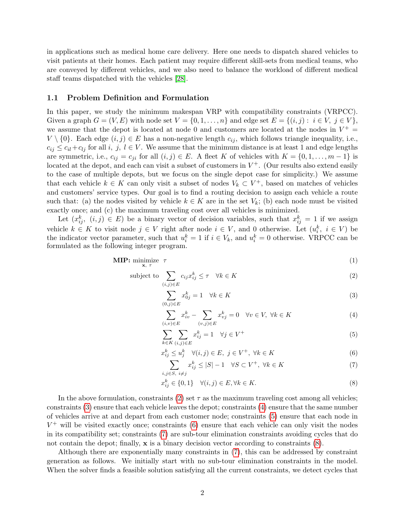in applications such as medical home care delivery. Here one needs to dispatch shared vehicles to visit patients at their homes. Each patient may require different skill-sets from medical teams, who are conveyed by different vehicles, and we also need to balance the workload of different medical staff teams dispatched with the vehicles [\[28\]](#page-12-3).

#### 1.1 Problem Definition and Formulation

In this paper, we study the minimum makespan VRP with compatibility constraints (VRPCC). Given a graph  $G = (V, E)$  with node set  $V = \{0, 1, \ldots, n\}$  and edge set  $E = \{(i, j): i \in V, j \in V\}$ , we assume that the depot is located at node 0 and customers are located at the nodes in  $V^+$  =  $V \setminus \{0\}$ . Each edge  $(i, j) \in E$  has a non-negative length  $c_{ij}$ , which follows triangle inequality, i.e.,  $c_{ij} \leq c_{il} + c_{lj}$  for all i, j,  $l \in V$ . We assume that the minimum distance is at least 1 and edge lengths are symmetric, i.e.,  $c_{ij} = c_{ji}$  for all  $(i, j) \in E$ . A fleet K of vehicles with  $K = \{0, 1, \ldots, m-1\}$  is located at the depot, and each can visit a subset of customers in  $V^+$ . (Our results also extend easily to the case of multiple depots, but we focus on the single depot case for simplicity.) We assume that each vehicle  $k \in K$  can only visit a subset of nodes  $V_k \subset V^+$ , based on matches of vehicles and customers' service types. Our goal is to find a routing decision to assign each vehicle a route such that: (a) the nodes visited by vehicle  $k \in K$  are in the set  $V_k$ ; (b) each node must be visited exactly once; and (c) the maximum traveling cost over all vehicles is minimized.

Let  $(x_{ij}^k, (i,j) \in E)$  be a binary vector of decision variables, such that  $x_{ij}^k = 1$  if we assign vehicle  $k \in K$  to visit node  $j \in V$  right after node  $i \in V$ , and 0 otherwise. Let  $(u_i^k, i \in V)$  be the indicator vector parameter, such that  $u_i^k = 1$  if  $i \in V_k$ , and  $u_i^k = 0$  otherwise. VRPCC can be formulated as the following integer program.

$$
\textbf{MIP: } \underset{\mathbf{x}, \ \tau}{\text{minimize}} \ \tau \tag{1}
$$

subject to 
$$
\sum_{(i,j)\in E} c_{ij} x_{ij}^k \leq \tau \quad \forall k \in K
$$
 (2)

<span id="page-1-7"></span><span id="page-1-1"></span><span id="page-1-0"></span>
$$
\sum_{(0,j)\in E} x_{0j}^k = 1 \quad \forall k \in K \tag{3}
$$

<span id="page-1-3"></span><span id="page-1-2"></span>
$$
\sum_{(i,v)\in E} x_{iv}^k - \sum_{(v,j)\in E} x_{vj}^k = 0 \quad \forall v \in V, \ \forall k \in K
$$
\n
$$
(4)
$$

$$
\sum_{k \in K} \sum_{(i,j) \in E} x_{ij}^k = 1 \quad \forall j \in V^+ \tag{5}
$$

$$
x_{ij}^k \le u_j^k \quad \forall (i,j) \in E, \ j \in V^+, \ \forall k \in K \tag{6}
$$

<span id="page-1-5"></span><span id="page-1-4"></span>
$$
\sum_{i,j\in S,\ i\neq j} x_{ij}^k \le |S|-1 \quad \forall S \subset V^+, \ \forall k \in K \tag{7}
$$

<span id="page-1-6"></span>
$$
x_{ij}^k \in \{0, 1\} \quad \forall (i, j) \in E, \forall k \in K. \tag{8}
$$

In the above formulation, constraints [\(2\)](#page-1-0) set  $\tau$  as the maximum traveling cost among all vehicles; constraints [\(3\)](#page-1-1) ensure that each vehicle leaves the depot; constraints [\(4\)](#page-1-2) ensure that the same number of vehicles arrive at and depart from each customer node; constraints [\(5\)](#page-1-3) ensure that each node in  $V^+$  will be visited exactly once; constraints [\(6\)](#page-1-4) ensure that each vehicle can only visit the nodes in its compatibility set; constraints [\(7\)](#page-1-5) are sub-tour elimination constraints avoiding cycles that do not contain the depot; finally,  $\mathbf x$  is a binary decision vector according to constraints  $(8)$ .

Although there are exponentially many constraints in [\(7\)](#page-1-5), this can be addressed by constraint generation as follows. We initially start with no sub-tour elimination constraints in the model. When the solver finds a feasible solution satisfying all the current constraints, we detect cycles that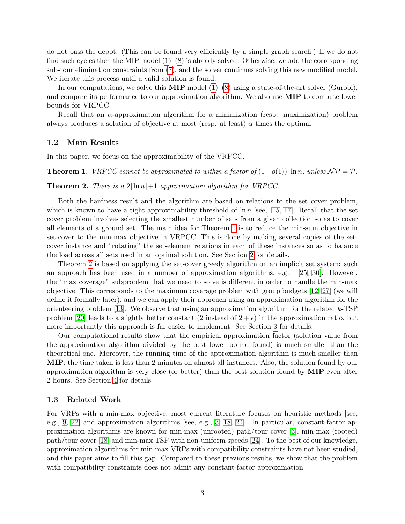do not pass the depot. (This can be found very efficiently by a simple graph search.) If we do not find such cycles then the MIP model  $(1)$ – $(8)$  is already solved. Otherwise, we add the corresponding sub-tour elimination constraints from [\(7\)](#page-1-5), and the solver continues solving this new modified model. We iterate this process until a valid solution is found.

In our computations, we solve this **MIP** model  $(1)$ – $(8)$  using a state-of-the-art solver (Gurobi), and compare its performance to our approximation algorithm. We also use MIP to compute lower bounds for VRPCC.

Recall that an α-approximation algorithm for a minimization (resp. maximization) problem always produces a solution of objective at most (resp. at least)  $\alpha$  times the optimal.

#### 1.2 Main Results

In this paper, we focus on the approximability of the VRPCC.

<span id="page-2-0"></span>**Theorem 1.** VRPCC cannot be approximated to within a factor of  $(1-o(1))\cdot \ln n$ , unless  $\mathcal{NP} = \mathcal{P}$ .

<span id="page-2-1"></span>**Theorem 2.** There is a  $2[\ln n]+1$ -approximation algorithm for VRPCC.

Both the hardness result and the algorithm are based on relations to the set cover problem, which is known to have a tight approximability threshold of  $\ln n$  [see, [15,](#page-11-9) [17\]](#page-11-10). Recall that the set cover problem involves selecting the smallest number of sets from a given collection so as to cover all elements of a ground set. The main idea for Theorem [1](#page-2-0) is to reduce the min-sum objective in set-cover to the min-max objective in VRPCC. This is done by making several copies of the setcover instance and "rotating" the set-element relations in each of these instances so as to balance the load across all sets used in an optimal solution. See Section [2](#page-3-0) for details.

Theorem [2](#page-2-1) is based on applying the set-cover greedy algorithm on an implicit set system: such an approach has been used in a number of approximation algorithms, e.g., [\[25,](#page-11-11) [30\]](#page-12-4). However, the "max coverage" subproblem that we need to solve is different in order to handle the min-max objective. This corresponds to the maximum coverage problem with group budgets [\[12,](#page-11-12) [27\]](#page-11-13) (we will define it formally later), and we can apply their approach using an approximation algorithm for the orienteering problem [\[13\]](#page-11-3). We observe that using an approximation algorithm for the related  $k$ -TSP problem [\[20\]](#page-11-14) leads to a slightly better constant (2 instead of  $2 + \epsilon$ ) in the approximation ratio, but more importantly this approach is far easier to implement. See Section [3](#page-4-0) for details.

Our computational results show that the empirical approximation factor (solution value from the approximation algorithm divided by the best lower bound found) is much smaller than the theoretical one. Moreover, the running time of the approximation algorithm is much smaller than MIP: the time taken is less than 2 minutes on almost all instances. Also, the solution found by our approximation algorithm is very close (or better) than the best solution found by MIP even after 2 hours. See Section [4](#page-7-0) for details.

#### 1.3 Related Work

For VRPs with a min-max objective, most current literature focuses on heuristic methods [see, e.g., [9,](#page-10-8) [22\]](#page-11-15) and approximation algorithms [see, e.g., [3,](#page-10-7) [18,](#page-11-7) [24\]](#page-11-8). In particular, constant-factor approximation algorithms are known for min-max (unrooted) path/tour cover [\[3\]](#page-10-7), min-max (rooted) path/tour cover [\[18\]](#page-11-7) and min-max TSP with non-uniform speeds [\[24\]](#page-11-8). To the best of our knowledge, approximation algorithms for min-max VRPs with compatibility constraints have not been studied, and this paper aims to fill this gap. Compared to these previous results, we show that the problem with compatibility constraints does not admit any constant-factor approximation.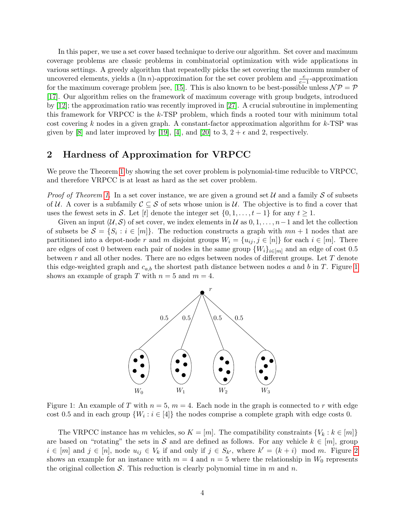In this paper, we use a set cover based technique to derive our algorithm. Set cover and maximum coverage problems are classic problems in combinatorial optimization with wide applications in various settings. A greedy algorithm that repeatedly picks the set covering the maximum number of uncovered elements, yields a  $(\ln n)$ -approximation for the set cover problem and  $\frac{e}{e-1}$ -approximation for the maximum coverage problem [see, [15\]](#page-11-9). This is also known to be best-possible unless  $\mathcal{NP} = \mathcal{P}$ [\[17\]](#page-11-10). Our algorithm relies on the framework of maximum coverage with group budgets, introduced by [\[12\]](#page-11-12); the approximation ratio was recently improved in [\[27\]](#page-11-13). A crucial subroutine in implementing this framework for VRPCC is the k-TSP problem, which finds a rooted tour with minimum total cost covering k nodes in a given graph. A constant-factor approximation algorithm for  $k$ -TSP was given by [\[8\]](#page-10-9) and later improved by [\[19\]](#page-11-4), [\[4\]](#page-10-10), and [\[20\]](#page-11-14) to 3,  $2 + \epsilon$  and 2, respectively.

### <span id="page-3-0"></span>2 Hardness of Approximation for VRPCC

We prove the Theorem [1](#page-2-0) by showing the set cover problem is polynomial-time reducible to VRPCC, and therefore VRPCC is at least as hard as the set cover problem.

*Proof of Theorem [1.](#page-2-0)* In a set cover instance, we are given a ground set  $U$  and a family  $S$  of subsets of U. A cover is a subfamily  $\mathcal{C} \subseteq \mathcal{S}$  of sets whose union is U. The objective is to find a cover that uses the fewest sets in S. Let  $[t]$  denote the integer set  $\{0, 1, \ldots, t-1\}$  for any  $t \geq 1$ .

<span id="page-3-1"></span>Given an input  $(\mathcal{U}, \mathcal{S})$  of set cover, we index elements in  $\mathcal{U}$  as  $0, 1, \ldots, n-1$  and let the collection of subsets be  $S = \{S_i : i \in [m]\}.$  The reduction constructs a graph with  $mn + 1$  nodes that are partitioned into a depot-node r and m disjoint groups  $W_i = \{u_{ij}, j \in [n]\}\$  for each  $i \in [m]$ . There are edges of cost 0 between each pair of nodes in the same group  $\{W_i\}_{i\in[m]}$  and an edge of cost 0.5 between  $r$  and all other nodes. There are no edges between nodes of different groups. Let  $T$  denote this edge-weighted graph and  $c_{a,b}$  the shortest path distance between nodes a and b in T. Figure [1](#page-3-1) shows an example of graph T with  $n = 5$  and  $m = 4$ .



Figure 1: An example of T with  $n = 5$ ,  $m = 4$ . Each node in the graph is connected to r with edge cost 0.5 and in each group  $\{W_i : i \in [4]\}$  the nodes comprise a complete graph with edge costs 0.

The VRPCC instance has m vehicles, so  $K = [m]$ . The compatibility constraints  $\{V_k : k \in [m]\}$ are based on "rotating" the sets in S and are defined as follows. For any vehicle  $k \in [m]$ , group  $i \in [m]$  and  $j \in [n]$ , node  $u_{ij} \in V_k$  if and only if  $j \in S_{k'}$ , where  $k' = (k + i) \mod m$ . Figure [2](#page-4-1) shows an example for an instance with  $m = 4$  and  $n = 5$  where the relationship in  $W_0$  represents the original collection S. This reduction is clearly polynomial time in  $m$  and  $n$ .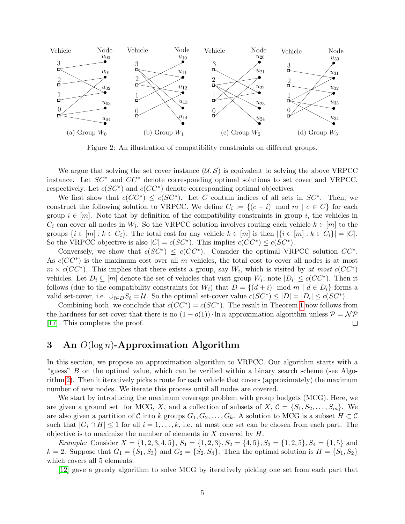<span id="page-4-1"></span>

Figure 2: An illustration of compatibility constraints on different groups.

We argue that solving the set cover instance  $(\mathcal{U}, \mathcal{S})$  is equivalent to solving the above VRPCC instance. Let  $SC^*$  and  $CC^*$  denote corresponding optimal solutions to set cover and VRPCC, respectively. Let  $c(SC^*)$  and  $c(CC^*)$  denote corresponding optimal objectives.

We first show that  $c(CC^*) \leq c(SC^*)$ . Let C contain indices of all sets in  $SC^*$ . Then, we construct the following solution to VRPCC. We define  $C_i := \{(c - i) \mod m \mid c \in C\}$  for each group  $i \in [m]$ . Note that by definition of the compatibility constraints in group i, the vehicles in  $C_i$  can cover all nodes in  $W_i$ . So the VRPCC solution involves routing each vehicle  $k \in [m]$  to the groups  $\{i \in [m] : k \in C_i\}$ . The total cost for any vehicle  $k \in [m]$  is then  $|\{i \in [m] : k \in C_i\}| = |C|$ . So the VRPCC objective is also  $|C| = c(SC^*)$ . This implies  $c(CC^*) \leq c(SC^*)$ .

Conversely, we show that  $c(SC^*) \leq c(CC^*)$ . Consider the optimal VRPCC solution  $CC^*$ . As  $c(CC^*)$  is the maximum cost over all m vehicles, the total cost to cover all nodes is at most  $m \times c(CC^*)$ . This implies that there exists a group, say  $W_i$ , which is visited by at most  $c(CC^*)$ vehicles. Let  $D_i \subseteq [m]$  denote the set of vehicles that visit group  $W_i$ ; note  $|D_i| \leq c(CC^*)$ . Then it follows (due to the compatibility constraints for  $W_i$ ) that  $D = \{(d + i) \mod m \mid d \in D_i\}$  forms a valid set-cover, i.e.  $\bigcup_{\ell \in D} S_{\ell} = \mathcal{U}$ . So the optimal set-cover value  $c(SC^*) \leq |D| = |D_i| \leq c(SC^*)$ .

Combining both, we conclude that  $c(CC^*) = c(SC^*)$ . The result in Theorem [1](#page-2-0) now follows from the hardness for set-cover that there is no  $(1 - o(1)) \cdot \ln n$  approximation algorithm unless  $P = \mathcal{NP}$ [\[17\]](#page-11-10). This completes the proof.  $\Box$ 

## <span id="page-4-0"></span>3 An  $O(\log n)$ -Approximation Algorithm

In this section, we propose an approximation algorithm to VRPCC. Our algorithm starts with a "guess" B on the optimal value, which can be verified within a binary search scheme (see Algorithm [2\)](#page-6-0). Then it iteratively picks a route for each vehicle that covers (approximately) the maximum number of new nodes. We iterate this process until all nodes are covered.

We start by introducing the maximum coverage problem with group budgets (MCG). Here, we are given a ground set for MCG, X, and a collection of subsets of X,  $\mathcal{C} = \{S_1, S_2, \ldots, S_m\}$ . We are also given a partition of C into k groups  $G_1, G_2, \ldots, G_k$ . A solution to MCG is a subset  $H \subset \mathcal{C}$ such that  $|G_i \cap H| \leq 1$  for all  $i = 1, ..., k$ , i.e. at most one set can be chosen from each part. The objective is to maximize the number of elements in  $X$  covered by  $H$ .

*Example:* Consider  $X = \{1, 2, 3, 4, 5\}$ ,  $S_1 = \{1, 2, 3\}$ ,  $S_2 = \{4, 5\}$ ,  $S_3 = \{1, 2, 5\}$ ,  $S_4 = \{1, 5\}$  and  $k = 2$ . Suppose that  $G_1 = \{S_1, S_3\}$  and  $G_2 = \{S_2, S_4\}$ . Then the optimal solution is  $H = \{S_1, S_2\}$ which covers all 5 elements.

[\[12\]](#page-11-12) gave a greedy algorithm to solve MCG by iteratively picking one set from each part that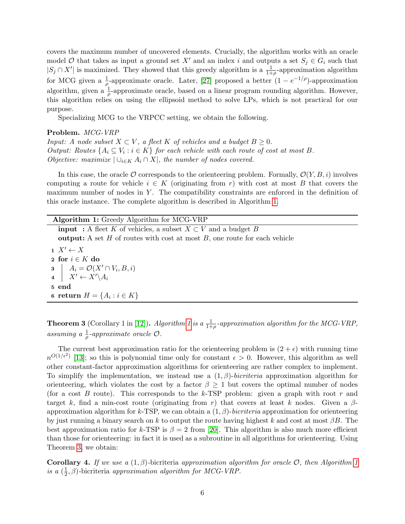covers the maximum number of uncovered elements. Crucially, the algorithm works with an oracle model  $\mathcal O$  that takes as input a ground set  $X'$  and an index i and outputs a set  $S_j \in G_i$  such that  $|S_j \cap X'|$  is maximized. They showed that this greedy algorithm is a  $\frac{1}{1+\rho}$ -approximation algorithm for MCG given a  $\frac{1}{\rho}$ -approximate oracle. Later, [\[27\]](#page-11-13) proposed a better  $(1 - e^{-1/\rho})$ -approximation algorithm, given a  $\frac{1}{\rho}$ -approximate oracle, based on a linear program rounding algorithm. However, this algorithm relies on using the ellipsoid method to solve LPs, which is not practical for our purpose.

Specializing MCG to the VRPCC setting, we obtain the following.

#### Problem. MCG-VRP

Input: A node subset  $X \subset V$ , a fleet K of vehicles and a budget  $B \geq 0$ . Output: Routes  $\{A_i \subseteq V_i : i \in K\}$  for each vehicle with each route of cost at most B. Objective: maximize  $\vert \cup_{i\in K} A_i \cap X \vert$ , the number of nodes covered.

In this case, the oracle  $\mathcal O$  corresponds to the orienteering problem. Formally,  $\mathcal O(Y, B, i)$  involves computing a route for vehicle  $i \in K$  (originating from r) with cost at most B that covers the maximum number of nodes in  $Y$ . The compatibility constraints are enforced in the definition of this oracle instance. The complete algorithm is described in Algorithm [1.](#page-5-0)

<span id="page-5-0"></span>

| Algorithm 1: Greedy Algorithm for MCG-VRP                                             |
|---------------------------------------------------------------------------------------|
| <b>input</b> : A fleet K of vehicles, a subset $X \subset V$ and a budget B           |
| <b>output:</b> A set $H$ of routes with cost at most $B$ , one route for each vehicle |
| $X' \leftarrow X$                                                                     |
| 2 for $i \in K$ do                                                                    |
|                                                                                       |
| 3 $A_i = \mathcal{O}(X' \cap V_i, B, i)$<br>4 $X' \leftarrow X' \setminus A_i$        |
| 5 end                                                                                 |
| 6 return $H = \{A_i : i \in K\}$                                                      |
|                                                                                       |

<span id="page-5-1"></span>**Theorem 3** (Corollary 1 in [\[12\]](#page-11-12)). Algorithm [1](#page-5-0) is a  $\frac{1}{1+\rho}$ -approximation algorithm for the MCG-VRP, assuming a  $\frac{1}{\rho}$ -approximate oracle  $\mathcal{O}$ .

The current best approximation ratio for the orienteering problem is  $(2 + \epsilon)$  with running time  $n^{O(1/\epsilon^2)}$  [\[13\]](#page-11-3); so this is polynomial time only for constant  $\epsilon > 0$ . However, this algorithm as well other constant-factor approximation algorithms for orienteering are rather complex to implement. To simplify the implementation, we instead use a  $(1, \beta)$ -bicriteria approximation algorithm for orienteering, which violates the cost by a factor  $\beta \geq 1$  but covers the optimal number of nodes (for a cost B route). This corresponds to the k-TSP problem: given a graph with root r and target k, find a min-cost route (originating from r) that covers at least k nodes. Given a  $\beta$ approximation algorithm for k-TSP, we can obtain a  $(1, \beta)$ -bicriteria approximation for orienteering by just running a binary search on k to output the route having highest k and cost at most  $\beta B$ . The best approximation ratio for k-TSP is  $\beta = 2$  from [\[20\]](#page-11-14). This algorithm is also much more efficient than those for orienteering: in fact it is used as a subroutine in all algorithms for orienteering. Using Theorem [3,](#page-5-1) we obtain:

<span id="page-5-2"></span>**Corollary 4.** If we use a  $(1, \beta)$ -bicriteria approximation algorithm for oracle  $\mathcal{O}$ , then Algorithm [1](#page-5-0) is a  $(\frac{1}{2})$  $\frac{1}{2}$ ,  $\beta$ )-bicriteria *approximation algorithm for MCG-VRP*.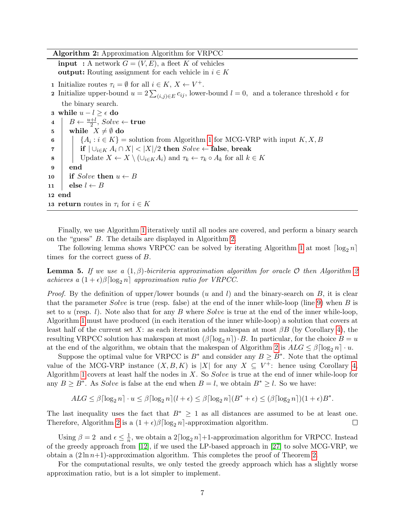Algorithm 2: Approximation Algorithm for VRPCC

<span id="page-6-0"></span>**input** : A network  $G = (V, E)$ , a fleet K of vehicles output: Routing assignment for each vehicle in  $i \in K$ **1** Initialize routes  $\tau_i = \emptyset$  for all  $i \in K$ ,  $X \leftarrow V^+$ .

**2** Initialize upper-bound  $u = 2\sum_{(i,j)\in E} c_{ij}$ , lower-bound  $l = 0$ , and a tolerance threshold  $\epsilon$  for the binary search.

<span id="page-6-1"></span>3 while  $u - l ≥ ε$  do  $\begin{array}{c} \texttt{4} \end{array} \left| \begin{array}{c} B \leftarrow \frac{u+l}{2}, \textit{Solve} \leftarrow \textbf{true} \end{array} \right|$ 5 while  $X \neq \emptyset$  do 6  $\{A_i : i \in K\}$  = solution from Algorithm [1](#page-5-0) for MCG-VRP with input  $K, X, B$ 7 if  $|\bigcup_{i\in K} A_i \cap X|$  <  $|X|/2$  then  $Solve \leftarrow$  false, break 8 Update  $X \leftarrow X \setminus (\cup_{i \in K} A_i)$  and  $\tau_k \leftarrow \tau_k \circ A_k$  for all  $k \in K$ 9 end 10 if Solve then  $u \leftarrow B$ 11 else  $l \leftarrow B$ 12 end 13 return routes in  $\tau_i$  for  $i \in K$ 

Finally, we use Algorithm [1](#page-5-0) iteratively until all nodes are covered, and perform a binary search on the "guess" B. The details are displayed in Algorithm [2.](#page-6-0)

The following lemma shows VRPCC can be solved by iterating Algorithm [1](#page-5-0) at most  $\lceil \log_2 n \rceil$ times for the correct guess of B.

**Lemma 5.** If we use a  $(1, \beta)$ -bicriteria approximation algorithm for oracle O then Algorithm [2](#page-6-0) achieves a  $(1+\epsilon)\beta \lceil \log_2 n \rceil$  approximation ratio for VRPCC.

*Proof.* By the definition of upper/lower bounds (u and l) and the binary-search on  $B$ , it is clear that the parameter Solve is true (resp. false) at the end of the inner while-loop (line [9\)](#page-6-1) when  $B$  is set to u (resp. l). Note also that for any B where Solve is true at the end of the inner while-loop, Algorithm [1](#page-5-0) must have produced (in each iteration of the inner while-loop) a solution that covers at least half of the current set X: as each iteration adds makespan at most  $\beta B$  (by Corollary [4\)](#page-5-2), the resulting VRPCC solution has makespan at most  $(\beta \lceil \log_2 n \rceil) \cdot B$ . In particular, for the choice  $B = u$ at the end of the algorithm, we obtain that the makespan of Algorithm [2](#page-6-0) is  $ALG \leq \beta \lceil \log_2 n \rceil \cdot u$ .

Suppose the optimal value for VRPCC is  $B^*$  and consider any  $B \ge B^*$ . Note that the optimal value of the MCG-VRP instance  $(X, B, K)$  is |X| for any  $X \subseteq V^+$ : hence using Corollary [4,](#page-5-2) Algorithm [1](#page-5-0) covers at least half the nodes in  $X$ . So  $Solve$  is true at the end of inner while-loop for any  $B \geq B^*$ . As *Solve* is false at the end when  $B = l$ , we obtain  $B^* \geq l$ . So we have:

 $ALG \leq \beta \lceil \log_2 n \rceil \cdot u \leq \beta \lceil \log_2 n \rceil (l + \epsilon) \leq \beta \lceil \log_2 n \rceil (B^* + \epsilon) \leq (\beta \lceil \log_2 n \rceil)(1 + \epsilon)B^*$ .

The last inequality uses the fact that  $B^* \geq 1$  as all distances are assumed to be at least one. Therefore, Algorithm [2](#page-6-0) is a  $(1 + \epsilon)\beta \log_2 n$ -approximation algorithm. □

Using  $\beta = 2$  and  $\epsilon \leq \frac{1}{n}$  $\frac{1}{n}$ , we obtain a  $2\lceil \log_2 n \rceil + 1$ -approximation algorithm for VRPCC. Instead of the greedy approach from [\[12\]](#page-11-12), if we used the LP-based approach in [\[27\]](#page-11-13) to solve MCG-VRP, we obtain a  $(2 \ln n+1)$ -approximation algorithm. This completes the proof of Theorem [2.](#page-2-1)

For the computational results, we only tested the greedy approach which has a slightly worse approximation ratio, but is a lot simpler to implement.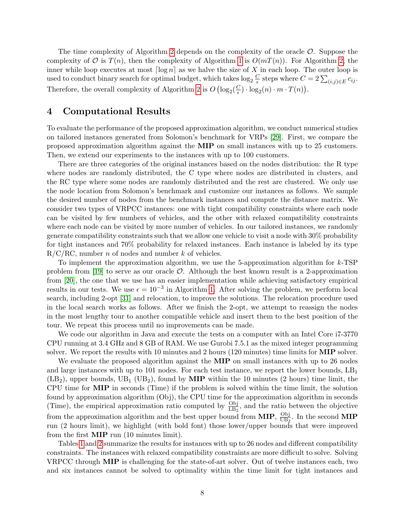The time complexity of Algorithm [2](#page-6-0) depends on the complexity of the oracle  $\mathcal O$ . Suppose the complexity of  $\mathcal O$  is  $T(n)$ , then the complexity of Algorithm [1](#page-5-0) is  $O(mT(n))$ . For Algorithm [2,](#page-6-0) the inner while loop executes at most  $\lceil \log n \rceil$  as we halve the size of X in each loop. The outer loop is used to conduct binary search for optimal budget, which takes  $\log_2 \frac{C}{\epsilon}$  $\frac{C}{\epsilon}$  steps where  $C = 2 \sum_{(i,j) \in E} c_{ij}$ . Therefore, the overall complexity of Algorithm [2](#page-6-0) is  $O\left(\log_2(\frac{C}{\epsilon})\right)$  $\frac{C}{\epsilon}) \cdot \log_2(n) \cdot m \cdot T(n)$ .

## <span id="page-7-0"></span>4 Computational Results

To evaluate the performance of the proposed approximation algorithm, we conduct numerical studies on tailored instances generated from Solomon's benchmark for VRPs [\[29\]](#page-12-1). First, we compare the proposed approximation algorithm against the MIP on small instances with up to 25 customers. Then, we extend our experiments to the instances with up to 100 customers.

There are three categories of the original instances based on the nodes distribution: the R type where nodes are randomly distributed, the C type where nodes are distributed in clusters, and the RC type where some nodes are randomly distributed and the rest are clustered. We only use the node location from Solomon's benchmark and customize our instances as follows. We sample the desired number of nodes from the benchmark instances and compute the distance matrix. We consider two types of VRPCC instances: one with tight compatibility constraints where each node can be visited by few numbers of vehicles, and the other with relaxed compatibility constraints where each node can be visited by more number of vehicles. In our tailored instances, we randomly generate compatibility constraints such that we allow one vehicle to visit a node with 30% probability for tight instances and 70% probability for relaxed instances. Each instance is labeled by its type  $R/C/RC$ , number *n* of nodes and number *k* of vehicles.

To implement the approximation algorithm, we use the 5-approximation algorithm for  $k$ -TSP problem from [\[19\]](#page-11-4) to serve as our oracle  $\mathcal{O}$ . Although the best known result is a 2-approximation from [\[20\]](#page-11-14), the one that we use has an easier implementation while achieving satisfactory empirical results in our tests. We use  $\epsilon = 10^{-3}$  in Algorithm [1.](#page-5-0) After solving the problem, we perform local search, including 2-opt [\[31\]](#page-12-0) and relocation, to improve the solutions. The relocation procedure used in the local search works as follows. After we finish the 2-opt, we attempt to reassign the nodes in the most lengthy tour to another compatible vehicle and insert them to the best position of the tour. We repeat this process until no improvements can be made.

We code our algorithm in Java and execute the tests on a computer with an Intel Core i.7-3770 CPU running at 3.4 GHz and 8 GB of RAM. We use Gurobi 7.5.1 as the mixed integer programming solver. We report the results with 10 minutes and 2 hours (120 minutes) time limits for **MIP** solver.

We evaluate the proposed algorithm against the **MIP** on small instances with up to 26 nodes and large instances with up to 101 nodes. For each test instance, we report the lower bounds,  $LB<sub>1</sub>$  $(LB_2)$ , upper bounds,  $UB_1$  (UB<sub>2</sub>), found by **MIP** within the 10 minutes (2 hours) time limit, the CPU time for MIP in seconds (Time) if the problem is solved within the time limit, the solution found by approximation algorithm (Obj), the CPU time for the approximation algorithm in seconds (Time), the empirical approximation ratio computed by  $\frac{\text{Obj}}{\text{LB}_2}$ , and the ratio between the objective from the approximation algorithm and the best upper bound from  $\text{MIP}$ ,  $\frac{\text{Obj}}{\text{IIBa}}$  $\frac{\text{Ubj}}{\text{UB}_2}$ . In the second **MIP** run (2 hours limit), we highlight (with bold font) those lower/upper bounds that were improved from the first MIP run (10 minutes limit).

Tables [1](#page-8-0) and [2](#page-8-1) summarize the results for instances with up to 26 nodes and different compatibility constraints. The instances with relaxed compatibility constraints are more difficult to solve. Solving VRPCC through MIP is challenging for the state-of-art solver. Out of twelve instances each, two and six instances cannot be solved to optimality within the time limit for tight instances and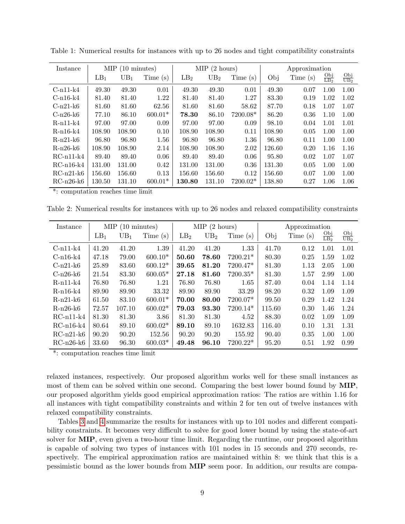| Instance       | MIP<br>$(10 \text{ minutes})$ |                 |           |                 | MIP<br>$(2 \text{ hours})$ |          | Approximation |         |                          |                          |
|----------------|-------------------------------|-----------------|-----------|-----------------|----------------------------|----------|---------------|---------|--------------------------|--------------------------|
|                | LB <sub>1</sub>               | UB <sub>1</sub> | Time(s)   | LB <sub>2</sub> | UB <sub>2</sub>            | Time(s)  | Obj           | Time(s) | Obj<br>$\overline{LB_2}$ | Obj<br>$\overline{UB_2}$ |
| $C-n11-k4$     | 49.30                         | 49.30           | 0.01      | 49.30           | 49.30                      | 0.01     | 49.30         | 0.07    | 1.00                     | 1.00                     |
| $C-n16-k4$     | 81.40                         | 81.40           | 1.22      | 81.40           | 81.40                      | 1.27     | 83.30         | 0.19    | 1.02                     | 1.02                     |
| $C-n21-k6$     | 81.60                         | 81.60           | 62.56     | 81.60           | 81.60                      | 58.62    | 87.70         | 0.18    | 1.07                     | 1.07                     |
| C-n26-k6       | 77.10                         | 86.10           | $600.01*$ | 78.30           | 86.10                      | 7200.08* | 86.20         | 0.36    | 1.10                     | 1.00                     |
| $R-n11-k4$     | 97.00                         | 97.00           | 0.09      | 97.00           | 97.00                      | 0.09     | 98.10         | 0.04    | 1.01                     | 1.01                     |
| $R-n16-k4$     | 108.90                        | 108.90          | 0.10      | 108.90          | 108.90                     | 0.11     | 108.90        | 0.05    | 1.00                     | 1.00                     |
| $R-n21-k6$     | 96.80                         | 96.80           | 1.56      | 96.80           | 96.80                      | 1.36     | 96.80         | 0.11    | 1.00                     | 1.00                     |
| $R-n26$ -k $6$ | 108.90                        | 108.90          | 2.14      | 108.90          | 108.90                     | 2.02     | 126.60        | 0.20    | 1.16                     | 1.16                     |
| $RC-n11-k4$    | 89.40                         | 89.40           | 0.06      | 89.40           | 89.40                      | 0.06     | 95.80         | 0.02    | 1.07                     | 1.07                     |
| $RC-n16-k4$    | 131.00                        | 131.00          | 0.42      | 131.00          | 131.00                     | 0.36     | 131.30        | 0.05    | 1.00                     | 1.00                     |
| $RC-n21-k6$    | 156.60                        | 156.60          | 0.13      | 156.60          | 156.60                     | 0.12     | 156.60        | 0.07    | 1.00                     | 1.00                     |
| $RC-n26-k6$    | 130.50                        | 131.10          | $600.01*$ | 130.80          | 131.10                     | 7200.02* | 138.80        | 0.27    | 1.06                     | 1.06                     |

<span id="page-8-0"></span>Table 1: Numerical results for instances with up to 26 nodes and tight compatibility constraints

\*: computation reaches time limit

<span id="page-8-1"></span>Table 2: Numerical results for instances with up to 26 nodes and relaxed compatibility constraints

| Instance    | $(10 \text{ minutes})$<br>MIP |        |           |                 | $MIP$ (2 hours) |            | Approximation |            |                          |                          |
|-------------|-------------------------------|--------|-----------|-----------------|-----------------|------------|---------------|------------|--------------------------|--------------------------|
|             | LB <sub>1</sub>               | $UB_1$ | Time(s)   | LB <sub>2</sub> | UB <sub>2</sub> | Time(s)    | Obj           | Time $(s)$ | Obj<br>$\overline{LB_2}$ | Obj<br>$\overline{UB_2}$ |
| $C-n11-k4$  | 41.20                         | 41.20  | 1.39      | 41.20           | 41.20           | 1.33       | 41.70         | 0.12       | 1.01                     | 1.01                     |
| $C-n16-k4$  | 47.18                         | 79.00  | $600.10*$ | 50.60           | 78.60           | $7200.21*$ | 80.30         | 0.25       | 1.59                     | 1.02                     |
| $C-n21-k6$  | 25.89                         | 83.60  | $600.12*$ | 39.65           | 81.20           | $7200.47*$ | 81.30         | 1.13       | 2.05                     | 1.00                     |
| $C-n26-k6$  | 21.54                         | 83.30  | $600.05*$ | 27.18           | 81.60           | $7200.35*$ | 81.30         | 1.57       | 2.99                     | 1.00                     |
| $R-n11-k4$  | 76.80                         | 76.80  | 1.21      | 76.80           | 76.80           | 1.65       | 87.40         | 0.04       | 1.14                     | 1.14                     |
| $R-n16-k4$  | 89.90                         | 89.90  | 33.32     | 89.90           | 89.90           | 33.29      | 98.20         | 0.32       | 1.09                     | 1.09                     |
| $R-n21-k6$  | 61.50                         | 83.10  | $600.01*$ | 70.00           | 80.00           | $7200.07*$ | 99.50         | 0.29       | 1.42                     | 1.24                     |
| $R-n26-k6$  | 72.57                         | 107.10 | $600.02*$ | 79.03           | 93.30           | $7200.14*$ | 115.60        | 0.30       | 1.46                     | 1.24                     |
| $RC-n11-k4$ | 81.30                         | 81.30  | 3.86      | 81.30           | 81.30           | 4.52       | 88.30         | 0.02       | 1.09                     | 1.09                     |
| $RC-n16-k4$ | 80.64                         | 89.10  | $600.02*$ | 89.10           | 89.10           | 1632.83    | 116.40        | 0.10       | 1.31                     | 1.31                     |
| $RC-n21-k6$ | 90.20                         | 90.20  | 152.56    | 90.20           | 90.20           | 155.92     | 90.40         | 0.35       | 1.00                     | 1.00                     |
| $RC-n26-k6$ | 33.60                         | 96.30  | $600.03*$ | 49.48           | 96.10           | $7200.22*$ | 95.20         | 0.51       | 1.92                     | 0.99                     |

\*: computation reaches time limit

relaxed instances, respectively. Our proposed algorithm works well for these small instances as most of them can be solved within one second. Comparing the best lower bound found by MIP, our proposed algorithm yields good empirical approximation ratios: The ratios are within 1.16 for all instances with tight compatibility constraints and within 2 for ten out of twelve instances with relaxed compatibility constraints.

Tables [3](#page-9-0) and [4](#page-9-1) summarize the results for instances with up to 101 nodes and different compatibility constraints. It becomes very difficult to solve for good lower bound by using the state-of-art solver for MIP, even given a two-hour time limit. Regarding the runtime, our proposed algorithm is capable of solving two types of instances with 101 nodes in 15 seconds and 270 seconds, respectively. The empirical approximation ratios are maintained within 8: we think that this is a pessimistic bound as the lower bounds from MIP seem poor. In addition, our results are compa-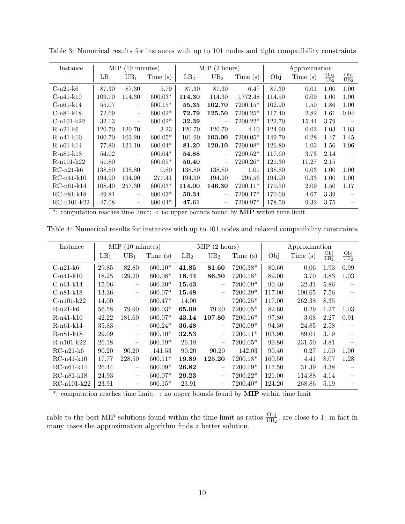| Instance      | $MIP$ (10 minutes) |                          |           | $MIP$ (2 hours) |                 |             | Approximation |            |                          |                        |
|---------------|--------------------|--------------------------|-----------|-----------------|-----------------|-------------|---------------|------------|--------------------------|------------------------|
|               | LB <sub>1</sub>    | $UB_1$                   | Time(s)   | LB <sub>2</sub> | UB <sub>2</sub> | Time (s)    | Obj           | Time $(s)$ | Obj<br>$\overline{LB_2}$ | Obj<br>UB <sub>2</sub> |
| $C-n21-k6$    | 87.30              | 87.30                    | 5.79      | 87.30           | 87.30           | 6.47        | 87.30         | 0.01       | 1.00                     | 1.00                   |
| $C-n41-k10$   | 109.70             | 114.30                   | $600.03*$ | 114.30          | 114.30          | 1772.48     | 114.50        | 0.09       | 1.00                     | 1.00                   |
| $C-n61-k14$   | 55.07              | $\overline{\phantom{m}}$ | $600.15*$ | 55.35           | 102.70          | $7200.15*$  | 102.90        | 1.50       | 1.86                     | 1.00                   |
| $C-n81-k18$   | 72.69              | $\overline{\phantom{m}}$ | $600.02*$ | 72.79           | 125.50          | $7200.25*$  | 117.40        | 2.82       | 1.61                     | 0.94                   |
| $C-n101-k22$  | 32.13              |                          | $600.02*$ | 32.39           |                 | $7200.22*$  | 122.70        | 15.44      | 3.79                     |                        |
| $R-n21-k6$    | 120.70             | 120.70                   | 3.23      | 120.70          | 120.70          | 4.10        | 124.90        | 0.02       | 1.03                     | 1.03                   |
| $R-n41-k10$   | 100.70             | 103.20                   | $600.05*$ | 101.90          | 103.00          | $7200.05*$  | 149.70        | 0.28       | 1.47                     | 1.45                   |
| $R-n61-k14$   | 77.80              | 121.10                   | $600.04*$ | 81.20           | 120.10          | $7200.08*$  | 126.80        | 1.03       | 1.56                     | 1.06                   |
| $R-n81-k18$   | 54.02              | $\overline{\phantom{m}}$ | $600.04*$ | 54.88           |                 | $7200.52*$  | 117.60        | 3.73       | 2.14                     |                        |
| $R-n101-k22$  | 51.80              |                          | $600.05*$ | 56.40           |                 | $7200.26*$  | 121.30        | 11.27      | 2.15                     |                        |
| $RC-n21-k6$   | 138.80             | 138.80                   | 0.80      | 138.80          | 138.80          | 1.01        | 138.80        | 0.03       | 1.00                     | 1.00                   |
| $RC-n41-k10$  | 194.90             | 194.90                   | 277.41    | 194.90          | 194.90          | 295.56      | 194.90        | 0.33       | 1.00                     | 1.00                   |
| $RC-n61-k14$  | 108.40             | 257.30                   | $600.03*$ | 114.00          | 146.30          | $7200.11*$  | 170.50        | 2.09       | 1.50                     | 1.17                   |
| $RC-n81-k18$  | 49.81              |                          | $600.03*$ | 50.34           |                 | 7200.17*    | 170.60        | 4.67       | 3.39                     |                        |
| $RC-n101-k22$ | 47.08              |                          | $600.04*$ | 47.61           |                 | $7200.97^*$ | 178.50        | 9.32       | 3.75                     |                        |

<span id="page-9-0"></span>Table 3: Numerical results for instances with up to 101 nodes and tight compatibility constraints

\*: computation reaches time limit; –: no upper bounds found by MIP within time limit

<span id="page-9-1"></span>Table 4: Numerical results for instances with up to 101 nodes and relaxed compatibility constraints

| Instance      | $MIP$ (10 minutes) |                          |           | $MIP$ (2 hours) |                                 |            | Approximation |            |                                |                        |
|---------------|--------------------|--------------------------|-----------|-----------------|---------------------------------|------------|---------------|------------|--------------------------------|------------------------|
|               | LB <sub>1</sub>    | $UB_1$                   | Time(s)   | LB <sub>2</sub> | UB <sub>2</sub>                 | Time(s)    | Obj           | Time $(s)$ | $rac{\text{Obj}}{\text{LB}_2}$ | Obj<br>UB <sub>2</sub> |
| $C-n21-k6$    | 29.85              | 82.80                    | $600.10*$ | 41.85           | 81.60                           | 7200.38*   | 80.60         | 0.06       | 1.93                           | 0.99                   |
| $C-n41-k10$   | 18.25              | 129.20                   | $600.08*$ | 18.44           | 86.50                           | 7200.18*   | 89.00         | 3.70       | 4.83                           | 1.03                   |
| $C-n61-k14$   | 15.06              | $\overline{\phantom{m}}$ | $600.30*$ | 15.43           |                                 | 7200.09*   | 90.40         | 32.31      | 5.86                           |                        |
| $C-n81-k18$   | 13.36              | $\overline{\phantom{m}}$ | $600.07*$ | 15.48           | $\overline{\phantom{m}}$        | $7200.39*$ | 117.00        | 100.65     | 7.56                           |                        |
| $C-n101-k22$  | 14.00              | $\overline{\phantom{m}}$ | $600.47*$ | 14.00           | —                               | $7200.25*$ | 117.00        | 262.38     | 8.35                           |                        |
| $R-n21-k6$    | 56.58              | 79.90                    | $600.03*$ | 65.09           | 79.90                           | $7200.05*$ | 82.60         | 0.29       | 1.27                           | 1.03                   |
| $R-n41-k10$   | 42.22              | 181.60                   | $600.07*$ | 43.14           | 107.80                          | $7200.16*$ | 97.80         | 3.08       | 2.27                           | 0.91                   |
| R-n61-k14     | 35.83              | $\overline{\phantom{m}}$ | $600.24*$ | 36.48           |                                 | 7200.09*   | 94.30         | 24.85      | 2.58                           |                        |
| $R-n81-k18$   | 29.09              | $\overline{\phantom{0}}$ | $600.10*$ | 32.53           | $\qquad \qquad -$               | 7200.11*   | 103.90        | 89.01      | 3.19                           |                        |
| $R-n101-k22$  | 26.18              |                          | $600.19*$ | 26.18           |                                 | $7200.05*$ | 99.80         | 231.50     | 3.81                           |                        |
| $RC-n21-k6$   | 90.20              | 90.20                    | 141.53    | 90.20           | 90.20                           | 142.03     | 90.40         | 0.27       | 1.00                           | 1.00                   |
| $RC-n41-k10$  | 17.77              | 228.50                   | $600.11*$ | 19.89           | 125.20                          | 7200.18*   | 160.50        | 4.41       | 8.07                           | 1.28                   |
| $RC-n61-k14$  | 26.44              | $\overline{\phantom{0}}$ | $600.09*$ | 26.82           |                                 | $7200.19*$ | 117.50        | 31.39      | 4.38                           |                        |
| $RC-n81-k18$  | 24.93              |                          | $600.07*$ | 29.23           | $\hspace{0.1mm}-\hspace{0.1mm}$ | $7200.22*$ | 121.00        | 114.88     | 4.14                           |                        |
| $RC-n101-k22$ | 23.91              |                          | $600.15*$ | 23.91           |                                 | 7200.40*   | 124.20        | 268.86     | 5.19                           |                        |

\*: computation reaches time limit; –: no upper bounds found by MIP within time limit

rable to the best MIP solutions found within the time limit as ratios  $\frac{\text{Obj}}{\text{UB}_2}$ , are close to 1: in fact in many cases the approximation algorithm finds a better solution.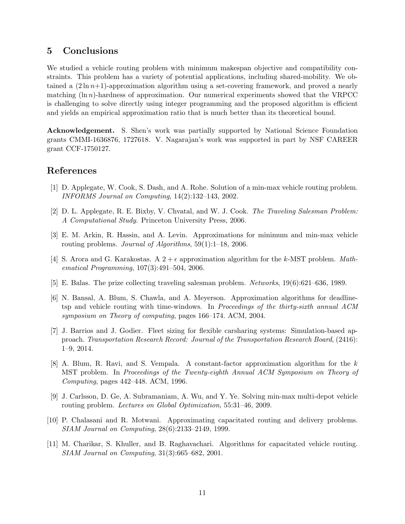## 5 Conclusions

We studied a vehicle routing problem with minimum makespan objective and compatibility constraints. This problem has a variety of potential applications, including shared-mobility. We obtained a  $(2 \ln n+1)$ -approximation algorithm using a set-covering framework, and proved a nearly matching  $(\ln n)$ -hardness of approximation. Our numerical experiments showed that the VRPCC is challenging to solve directly using integer programming and the proposed algorithm is efficient and yields an empirical approximation ratio that is much better than its theoretical bound.

Acknowledgement. S. Shen's work was partially supported by National Science Foundation grants CMMI-1636876, 1727618. V. Nagarajan's work was supported in part by NSF CAREER grant CCF-1750127.

## References

- <span id="page-10-6"></span>[1] D. Applegate, W. Cook, S. Dash, and A. Rohe. Solution of a min-max vehicle routing problem. INFORMS Journal on Computing, 14(2):132–143, 2002.
- <span id="page-10-0"></span>[2] D. L. Applegate, R. E. Bixby, V. Chvatal, and W. J. Cook. The Traveling Salesman Problem: A Computational Study. Princeton University Press, 2006.
- <span id="page-10-7"></span>[3] E. M. Arkin, R. Hassin, and A. Levin. Approximations for minimum and min-max vehicle routing problems. Journal of Algorithms, 59(1):1–18, 2006.
- <span id="page-10-10"></span>[4] S. Arora and G. Karakostas. A  $2 + \epsilon$  approximation algorithm for the k-MST problem. Mathematical Programming, 107(3):491–504, 2006.
- <span id="page-10-3"></span>[5] E. Balas. The prize collecting traveling salesman problem. Networks, 19(6):621–636, 1989.
- <span id="page-10-2"></span>[6] N. Bansal, A. Blum, S. Chawla, and A. Meyerson. Approximation algorithms for deadlinetsp and vehicle routing with time-windows. In Proceedings of the thirty-sixth annual ACM symposium on Theory of computing, pages 166–174. ACM, 2004.
- <span id="page-10-1"></span>[7] J. Barrios and J. Godier. Fleet sizing for flexible carsharing systems: Simulation-based approach. Transportation Research Record: Journal of the Transportation Research Board, (2416): 1–9, 2014.
- <span id="page-10-9"></span>[8] A. Blum, R. Ravi, and S. Vempala. A constant-factor approximation algorithm for the k MST problem. In Proceedings of the Twenty-eighth Annual ACM Symposium on Theory of Computing, pages 442–448. ACM, 1996.
- <span id="page-10-8"></span>[9] J. Carlsson, D. Ge, A. Subramaniam, A. Wu, and Y. Ye. Solving min-max multi-depot vehicle routing problem. Lectures on Global Optimization, 55:31–46, 2009.
- <span id="page-10-4"></span>[10] P. Chalasani and R. Motwani. Approximating capacitated routing and delivery problems. SIAM Journal on Computing, 28(6):2133–2149, 1999.
- <span id="page-10-5"></span>[11] M. Charikar, S. Khuller, and B. Raghavachari. Algorithms for capacitated vehicle routing. SIAM Journal on Computing, 31(3):665–682, 2001.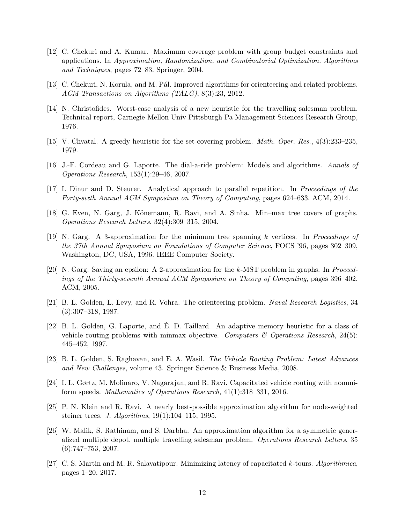- <span id="page-11-12"></span>[12] C. Chekuri and A. Kumar. Maximum coverage problem with group budget constraints and applications. In Approximation, Randomization, and Combinatorial Optimization. Algorithms and Techniques, pages 72–83. Springer, 2004.
- <span id="page-11-3"></span>[13] C. Chekuri, N. Korula, and M. Pál. Improved algorithms for orienteering and related problems. ACM Transactions on Algorithms (TALG), 8(3):23, 2012.
- <span id="page-11-1"></span>[14] N. Christofides. Worst-case analysis of a new heuristic for the travelling salesman problem. Technical report, Carnegie-Mellon Univ Pittsburgh Pa Management Sciences Research Group, 1976.
- <span id="page-11-9"></span>[15] V. Chvatal. A greedy heuristic for the set-covering problem. Math. Oper. Res., 4(3):233–235, 1979.
- <span id="page-11-6"></span>[16] J.-F. Cordeau and G. Laporte. The dial-a-ride problem: Models and algorithms. Annals of Operations Research, 153(1):29–46, 2007.
- <span id="page-11-10"></span>[17] I. Dinur and D. Steurer. Analytical approach to parallel repetition. In Proceedings of the Forty-sixth Annual ACM Symposium on Theory of Computing, pages 624–633. ACM, 2014.
- <span id="page-11-7"></span>[18] G. Even, N. Garg, J. Könemann, R. Ravi, and A. Sinha. Min–max tree covers of graphs. Operations Research Letters, 32(4):309–315, 2004.
- <span id="page-11-4"></span>[19] N. Garg. A 3-approximation for the minimum tree spanning k vertices. In Proceedings of the 37th Annual Symposium on Foundations of Computer Science, FOCS '96, pages 302–309, Washington, DC, USA, 1996. IEEE Computer Society.
- <span id="page-11-14"></span>[20] N. Garg. Saving an epsilon: A 2-approximation for the k-MST problem in graphs. In Proceedings of the Thirty-seventh Annual ACM Symposium on Theory of Computing, pages 396–402. ACM, 2005.
- <span id="page-11-2"></span>[21] B. L. Golden, L. Levy, and R. Vohra. The orienteering problem. Naval Research Logistics, 34 (3):307–318, 1987.
- <span id="page-11-15"></span>[22] B. L. Golden, G. Laporte, and E. D. Taillard. An adaptive memory heuristic for a class of ´ vehicle routing problems with minmax objective. Computers & Operations Research, 24(5): 445–452, 1997.
- <span id="page-11-0"></span>[23] B. L. Golden, S. Raghavan, and E. A. Wasil. The Vehicle Routing Problem: Latest Advances and New Challenges, volume 43. Springer Science & Business Media, 2008.
- <span id="page-11-8"></span>[24] I. L. Gørtz, M. Molinaro, V. Nagarajan, and R. Ravi. Capacitated vehicle routing with nonuniform speeds. Mathematics of Operations Research, 41(1):318–331, 2016.
- <span id="page-11-11"></span>[25] P. N. Klein and R. Ravi. A nearly best-possible approximation algorithm for node-weighted steiner trees. *J. Algorithms*,  $19(1):104-115$ , 1995.
- <span id="page-11-5"></span>[26] W. Malik, S. Rathinam, and S. Darbha. An approximation algorithm for a symmetric generalized multiple depot, multiple travelling salesman problem. *Operations Research Letters*, 35  $(6):747-753, 2007.$
- <span id="page-11-13"></span>[27] C. S. Martin and M. R. Salavatipour. Minimizing latency of capacitated k-tours. Algorithmica, pages 1–20, 2017.